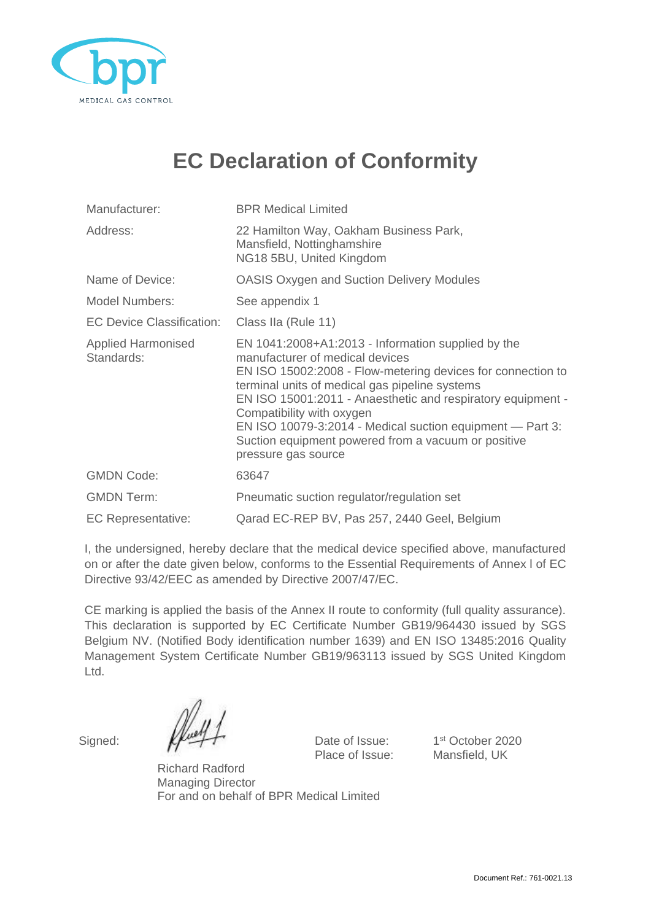

## **EC Declaration of Conformity**

| Manufacturer:                           | <b>BPR Medical Limited</b>                                                                                                                                                                                                                                                                                                                                                                                                                    |  |
|-----------------------------------------|-----------------------------------------------------------------------------------------------------------------------------------------------------------------------------------------------------------------------------------------------------------------------------------------------------------------------------------------------------------------------------------------------------------------------------------------------|--|
| Address:                                | 22 Hamilton Way, Oakham Business Park,<br>Mansfield, Nottinghamshire<br>NG18 5BU, United Kingdom                                                                                                                                                                                                                                                                                                                                              |  |
| Name of Device:                         | <b>OASIS Oxygen and Suction Delivery Modules</b>                                                                                                                                                                                                                                                                                                                                                                                              |  |
| <b>Model Numbers:</b>                   | See appendix 1                                                                                                                                                                                                                                                                                                                                                                                                                                |  |
| <b>EC Device Classification:</b>        | Class IIa (Rule 11)                                                                                                                                                                                                                                                                                                                                                                                                                           |  |
| <b>Applied Harmonised</b><br>Standards: | EN 1041:2008+A1:2013 - Information supplied by the<br>manufacturer of medical devices<br>EN ISO 15002:2008 - Flow-metering devices for connection to<br>terminal units of medical gas pipeline systems<br>EN ISO 15001:2011 - Anaesthetic and respiratory equipment -<br>Compatibility with oxygen<br>EN ISO 10079-3:2014 - Medical suction equipment - Part 3:<br>Suction equipment powered from a vacuum or positive<br>pressure gas source |  |
| <b>GMDN Code:</b>                       | 63647                                                                                                                                                                                                                                                                                                                                                                                                                                         |  |
| <b>GMDN Term:</b>                       | Pneumatic suction regulator/regulation set                                                                                                                                                                                                                                                                                                                                                                                                    |  |
| <b>EC Representative:</b>               | Qarad EC-REP BV, Pas 257, 2440 Geel, Belgium                                                                                                                                                                                                                                                                                                                                                                                                  |  |

I, the undersigned, hereby declare that the medical device specified above, manufactured on or after the date given below, conforms to the Essential Requirements of Annex l of EC Directive 93/42/EEC as amended by Directive 2007/47/EC.

CE marking is applied the basis of the Annex II route to conformity (full quality assurance). This declaration is supported by EC Certificate Number GB19/964430 issued by SGS Belgium NV. (Notified Body identification number 1639) and EN ISO 13485:2016 Quality Management System Certificate Number GB19/963113 issued by SGS United Kingdom Ltd.

Signed:  $\mathbb{Z}$   $\rightarrow$   $\rightarrow$  Date of Issue: Place of Issue: Mansfield, UK

1<sup>st</sup> October 2020

Richard Radford Managing Director For and on behalf of BPR Medical Limited